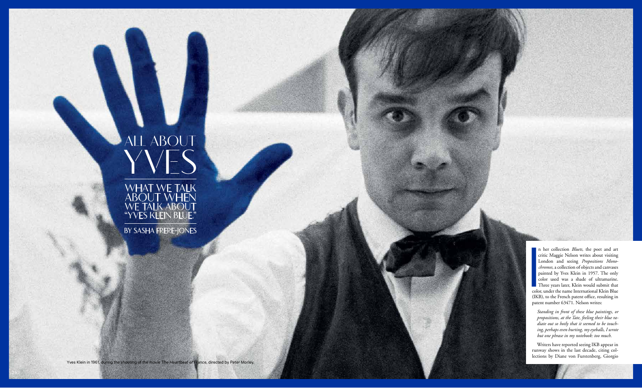**I** n her collection *Bluets,* the poet and art critic Maggie Nelson writes about visiting London and seeing *Propositions Mono chromes,* a collection of objects and canvases painted by Yves Klein in 1957. The only color used was a shade of ultramarine. Three years later, Klein would submit that color, under the name International Klein Blue (IKB), to the French patent office, resulting in patent number 63471. Nelson writes:

*Standing in front of these blue paintings, or propositions, at the Tate, feeling their blue ra diate out so hotly that it seemed to be touch ing, perhaps even hurting, my eyeballs, I wrote but one phrase in my notebook: too much.*

Writers have reported seeing IKB appear in runway shows in the last decade, citing col lections by Diane von Furstenberg, Giorgio

## **ALL ABOUT YVES**

**WHAT WE TALK ABOUT WHEN WE TALK ABOUT "YVES KLEIN BLUE."**

Yves Klein in 1961, during the shooting of the movie *The Heartbeat of France,* directed by Peter Morley.

**BY SASHA FRERE-JONES**

210